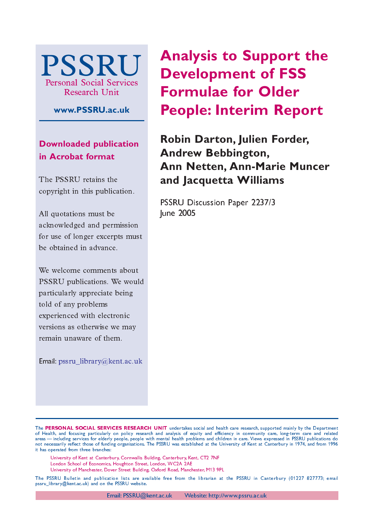

**www.PSSRU.ac.uk**

**Downloaded publication in Acrobat format**

The PSSRU retains the copyright in this publication.

All quotations must be acknowledged and permission for use of longer excerpts must be obtained in advance.

We welcome comments about PSSRU publications. We would particularly appreciate being told of any problems experienced with electronic versions as otherwise we may remain unaware of them.

Email: pssru\_library@kent.ac.uk

**Analysis to Support the Development of FSS Formulae for Older People: Interim Report**

**Robin Darton, Julien Forder, Andrew Bebbington, Ann Netten, Ann-Marie Muncer and Jacquetta Williams**

PSSRU Discussion Paper 2237/3 June 2005

The PERSONAL SOCIAL SERVICES RESEARCH UNIT undertakes social and health care research, supported mainly by the Department of Health, and focusing particularly on policy research and analysis of equity and efficiency in community care, long-term care and related areas—including services for elderly people, people with mental health problems and children in care. Views expressed in PSSRU publications do not necessarily reflect those of funding organisations. The PSSRU was established at the University of Kent at Canterbury in 1974, and from 1996 it has operated from three branches:

University of Kent at Canterbury, Cornwallis Building, Canterbury, Kent, CT2 7NF

London School of Economics, Houghton Street, London, WC2A 2AE

University of Manchester, Dover Street Building, Oxford Road, Manchester, M13-9PL

The PSSRU Bulletin and publication lists are available free from the librarian at the PSSRU in Canterbury (01227–827773; email pssru\_library@kent.ac.uk) and on the PSSRU website.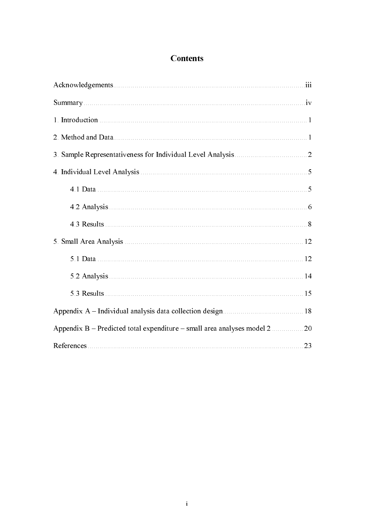# **Contents**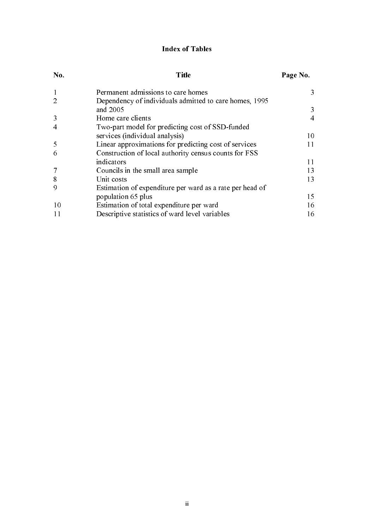# Index of Tables

| No.            | Title                                                    | Page No.       |
|----------------|----------------------------------------------------------|----------------|
|                | Permanent admissions to care homes                       | 3              |
| 2              | Dependency of individuals admitted to care homes, 1995   |                |
|                | and 2005                                                 | 3              |
| 3              | Home care clients                                        | $\overline{4}$ |
| $\overline{4}$ | Two-part model for predicting cost of SSD-funded         |                |
|                | services (individual analysis)                           | 10             |
| 5              | Linear approximations for predicting cost of services    | 11             |
| 6              | Construction of local authority census counts for FSS    |                |
|                | indicators                                               | 11             |
|                | Councils in the small area sample                        | 13             |
| 8              | Unit costs                                               | 13             |
| 9              | Estimation of expenditure per ward as a rate per head of |                |
|                | population 65 plus                                       | 15             |
| 10             | Estimation of total expenditure per ward                 | 16             |
| 11             | Descriptive statistics of ward level variables           | 16             |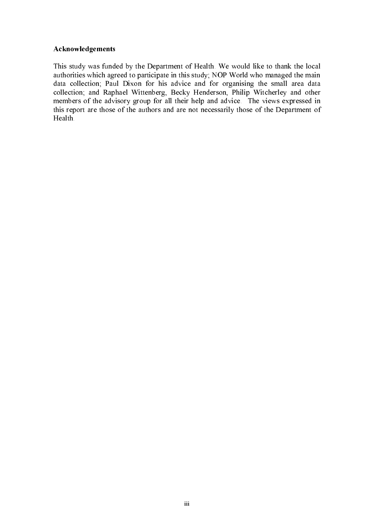## Acknowledgements

This study was funded by the Department of Health. We would like to thank the local authorities which agreed to participate in this study; NOP World who managed the main data collection; Paul Dixon for his advice and for organising the small area data collection; and Raphael Wittenberg, Becky Henderson, Philip Witcherley and other members of the advisory group for all their help and advice. The views expressed in this report are those of the authors and are not necessarily those of the Department of Health.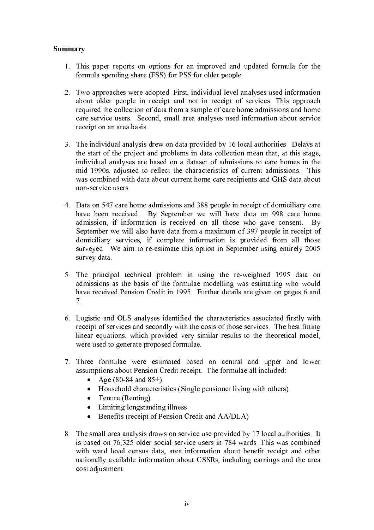## Summary

- 1. This paper reports on options for an improved and updated formula for the formula spending share (FSS) for PSS for older people.
- 2. Two approaches were adopted. First, individual level analyses used information about older people in receipt and not in receipt of services. This approach required the collection of data from a sample of care home admissions and home care service users. Second, small area analyses used information about service receipt on an area basis.
- 3. The individual analysis drew on data provided by 16 local authorities. Delays at the start of the project and problems in data collection mean that, at this stage, individual analyses are based on a dataset of admissions to care homes in the mid 1990s, adjusted to reflect the characteristics of current admissions. This was combined with data about current home care recipients and GHS data about non-service users.
- 4. Data on 547 care home admissions and 388 people in receipt of domiciliary care have been received. By September we will have data on 998 care home admission, if information is received on all those who gave consent. By September we will also have data from a maximum of 397 people in receipt of domiciliary services, if complete information is provided from all those surveyed. We aim to re-estimate this option in September using entirely 2005 survey data.
- 5. The principal technical problem in using the re-weighted 1995 data on admissions as the basis of the formulae modelling was estimating who would have received Pension Credit in 1995. Further details are given on pages 6 and 7.
- 6. Logistic and OLS analyses identified the characteristics associated firstly with receipt of services and secondly with the costs of those services. The best fitting linear equations, which provided very similar results to the theoretical model, were used to generate proposed formulae.
- 7. Three formulae were estimated based on central and upper and lower assumptions about Pension Credit receipt. The formulae all included:
	- Age  $(80-84 \text{ and } 85+)$ <br>• Household characteri
	- Household characteristics (Single pensioner living with others)<br>• Tenure (Renting)
	- Tenure (Renting)
	- Limiting longstanding illness<br>• Benefits (receipt of Pension C
	- Benefits (receipt of Pension Credit and AA/DLA)
- 8. The small area analysis draws on service use provided by 17 local authorities. It is based on 76,325 older social service users in 784 wards. This was combined with ward level census data, area information about benefit receipt and other nationally available information about CSSRs, including earnings and the area cost adjustment.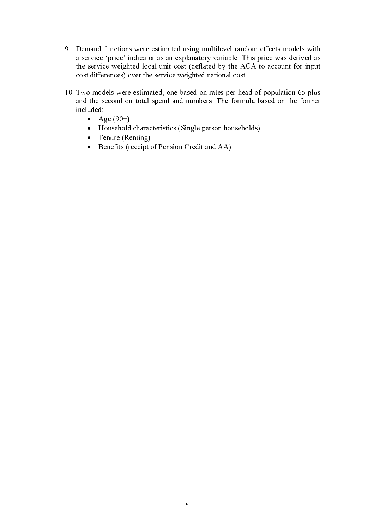- 9. Demand functions were estimated using multilevel random effects models with a service 'price' indicator as an explanatory variable. This price was derived as the service weighted local unit cost (deflated by the ACA to account for input cost differences) over the service weighted national cost.
- 10. Two models were estimated, one based on rates per head of population 65 plus and the second on total spend and numbers. The formula based on the former included:
	- Age  $(90+)$
	- Household characteristics (Single person households)
	- Tenure (Renting)<br>• Benefits (receipt)
	- Benefits (receipt of Pension Credit and AA)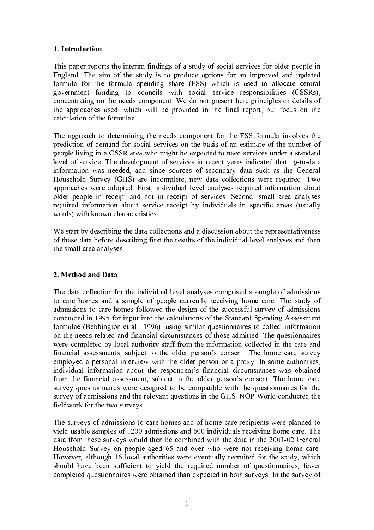# 1. Introduction

This paper reports the interim findings of a study of social services for older people in England. The aim of the study is to produce options for an improved and updated formula for the formula spending share (FSS) which is used to allocate central government funding to councils with social service responsibilities (CSSRs), concentrating on the needs component. We do not present here principles or details of the approaches used, which will be provided in the final report, but focus on the calculation of the formulae.

The approach to determining the needs component for the FSS formula involves the prediction of demand for social services on the basis of an estimate of the number of people living in a CSSR area who might be expected to need services under a standard level of service. The development of services in recent years indicated that up-to-date information was needed, and since sources of secondary data such as the General Household Survey (GHS) are incomplete, new data collections were required. Two approaches were adopted. First, individual level analyses required information about older people in receipt and not in receipt of services. Second, small area analyses required information about service receipt by individuals in specific areas (usually wards) with known characteristics.

We start by describing the data collections and a discussion about the representativeness of these data before describing first the results of the individual level analyses and then the small area analyses.

# 2. Method and Data

The data collection for the individual level analyses comprised a sample of admissions to care homes and a sample of people currently receiving home care. The study of admissions to care homes followed the design of the successful survey of admissions conducted in 1995 for input into the calculations of the Standard Spending Assessment formulae (Bebbington et al., 1996), using similar questionnaires to collect information on the needs-related and financial circumstances of those admitted. The questionnaires were completed by local authority staff from the information collected in the care and financial assessments, subject to the older person's consent. The home care survey employed a personal interview with the older person or a proxy. In some authorities, individual information about the respondent's financial circumstances was obtained from the financial assessment, subject to the older person's consent. The home care survey questionnaires were designed to be compatible with the questionnaires for the survey of admissions and the relevant questions in the GHS. NOP World conducted the fieldwork for the two surveys.

The surveys of admissions to care homes and of home care recipients were planned to yield usable samples of 1200 admissions and 600 individuals receiving home care. The data from these surveys would then be combined with the data in the 2001-02 General Household Survey on people aged 65 and over who were not receiving home care. However, although 16 local authorities were eventually recruited for the study, which should have been sufficient to yield the required number of questionnaires, fewer completed questionnaires were obtained than expected in both surveys. In the survey of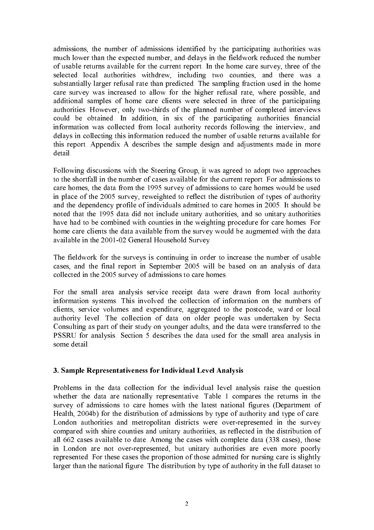admissions, the number of admissions identified by the participating authorities was much lower than the expected number, and delays in the fieldwork reduced the number of usable returns available for the current report. In the home care survey, three of the selected local authorities withdrew, including two counties, and there was a substantially larger refusal rate than predicted. The sampling fraction used in the home care survey was increased to allow for the higher refusal rate, where possible, and additional samples of home care clients were selected in three of the participating authorities. However, only two-thirds of the planned number of completed interviews could be obtained. In addition, in six of the participating authorities financial information was collected from local authority records following the interview, and delays in collecting this information reduced the number of usable returns available for this report. Appendix A describes the sample design and adjustments made in more detail.

Following discussions with the Steering Group, it was agreed to adopt two approaches to the shortfall in the number of cases available for the current report. For admissions to care homes, the data from the 1995 survey of admissions to care homes would be used in place of the 2005 survey, reweighted to reflect the distribution of types of authority and the dependency profile of individuals admitted to care homes in 2005. It should be noted that the 1995 data did not include unitary authorities, and so unitary authorities have had to be combined with counties in the weighting procedure for care homes. For home care clients the data available from the survey would be augmented with the data available in the 2001-02 General Household Survey.

The fieldwork for the surveys is continuing in order to increase the number of usable cases, and the final report in September 2005 will be based on an analysis of data collected in the 2005 survey of admissions to care homes.

For the small area analysis service receipt data were drawn from local authority information systems. This involved the collection of information on the numbers of clients, service volumes and expenditure, aggregated to the postcode, ward or local authority level. The collection of data on older people was undertaken by Secta Consulting as part of their study on younger adults, and the data were transferred to the PSSRU for analysis. Section 5 describes the data used for the small area analysis in some detail.

### 3. Sample Representativeness for Individual Level Analysis

Problems in the data collection for the individual level analysis raise the question whether the data are nationally representative. Table 1 compares the returns in the survey of admissions to care homes with the latest national figures (Department of Health, 2004b) for the distribution of admissions by type of authority and type of care. London authorities and metropolitan districts were over-represented in the survey compared with shire counties and unitary authorities, as reflected in the distribution of all 662 cases available to date. Among the cases with complete data (338 cases), those in London are not over-represented, but unitary authorities are even more poorly represented. For these cases the proportion of those admitted for nursing care is slightly larger than the national figure. The distribution by type of authority in the full dataset to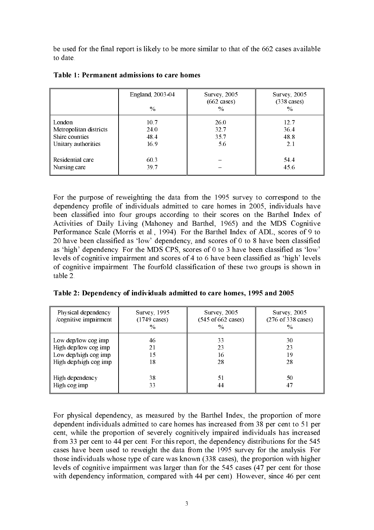be used for the final report is likely to be more similar to that of the 662 cases available to date.

|                        | England, 2003-04<br>$\%$ | <b>Survey</b> , 2005<br>$(662 \text{ cases})$<br>$\frac{0}{0}$ | <b>Survey</b> , 2005<br>$(338 \text{ cases})$<br>$\frac{0}{0}$ |
|------------------------|--------------------------|----------------------------------------------------------------|----------------------------------------------------------------|
| London                 | 10.7                     | 26.0                                                           | 12.7                                                           |
| Metropolitan districts | 24.0                     | 32.7                                                           | 36.4                                                           |
| Shire counties         | 48.4                     | 35.7                                                           | 48.8                                                           |
| Unitary authorities    | 16.9                     | 5.6                                                            | 2.1                                                            |
| Residential care       | 60.3                     |                                                                | 54.4                                                           |
| Nursing care           | 39.7                     |                                                                | 45.6                                                           |

Table 1: Permanent admissions to care homes

For the purpose of reweighting the data from the 1995 survey to correspond to the dependency profile of individuals admitted to care homes in 2005, individuals have been classified into four groups according to their scores on the Barthel Index of Activities of Daily Living (Mahoney and Barthel, 1965) and the MDS Cognitive Performance Scale (Morris et al., 1994). For the Barthel Index of ADL, scores of 9 to 20 have been classified as 'low' dependency, and scores of 0 to 8 have been classified as 'high' dependency. For the MDS CPS, scores of 0 to 3 have been classified as 'low' levels of cognitive impairment and scores of 4 to 6 have been classified as 'high' levels of cognitive impairment. The fourfold classification of these two groups is shown in table 2.

|  |  | Table 2: Dependency of individuals admitted to care homes, 1995 and 2005 |  |
|--|--|--------------------------------------------------------------------------|--|
|  |  |                                                                          |  |

| Physical dependency<br>/cognitive impairment | Survey, 1995<br>$(1749 \text{ cases})$<br>$\frac{0}{0}$ | <b>Survey</b> , 2005<br>$(545 \text{ of } 662 \text{ cases})$<br>$\frac{0}{0}$ | <b>Survey</b> , 2005<br>$(276 \text{ of } 338 \text{ cases})$<br>$\frac{0}{0}$ |
|----------------------------------------------|---------------------------------------------------------|--------------------------------------------------------------------------------|--------------------------------------------------------------------------------|
| Low dep/low cog imp                          | 46                                                      | 33                                                                             | 30                                                                             |
| High dep/low cog imp                         | 21                                                      | 23                                                                             | 23                                                                             |
| Low dep/high cog imp                         | 15                                                      | 16                                                                             | 19                                                                             |
| High dep/high cog imp                        | 18                                                      | 28                                                                             | 28                                                                             |
| High dependency                              | 38                                                      | 51                                                                             | 50                                                                             |
| High cog imp                                 | 33                                                      | 44                                                                             | 47                                                                             |

For physical dependency, as measured by the Barthel Index, the proportion of more dependent individuals admitted to care homes has increased from 38 per cent to 51 per cent, while the proportion of severely cognitively impaired individuals has increased from 33 per cent to 44 per cent. For this report, the dependency distributions for the 545 cases have been used to reweight the data from the 1995 survey for the analysis. For those individuals whose type of care was known (338 cases), the proportion with higher levels of cognitive impairment was larger than for the 545 cases (47 per cent for those with dependency information, compared with 44 per cent). However, since 46 per cent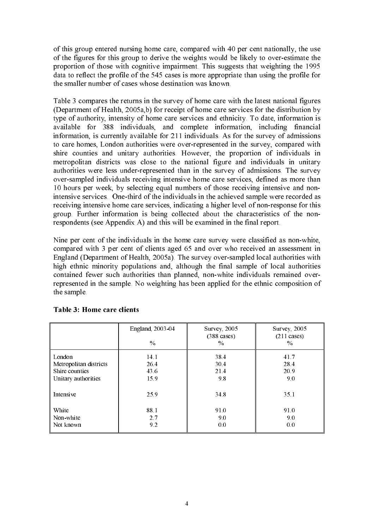of this group entered nursing home care, compared with 40 per cent nationally, the use of the figures for this group to derive the weights would be likely to over-estimate the proportion of those with cognitive impairment. This suggests that weighting the 1995 data to reflect the profile of the 545 cases is more appropriate than using the profile for the smaller number of cases whose destination was known.

Table 3 compares the returns in the survey of home care with the latest national figures (Department of Health, 2005a,b) for receipt of home care services for the distribution by type of authority, intensity of home care services and ethnicity. To date, information is available for 388 individuals, and complete information, including financial information, is currently available for 211 individuals. As for the survey of admissions to care homes, London authorities were over-represented in the survey, compared with shire counties and unitary authorities. However, the proportion of individuals in metropolitan districts was close to the national figure and individuals in unitary authorities were less under-represented than in the survey of admissions. The survey over-sampled individuals receiving intensive home care services, defined as more than 10 hours per week, by selecting equal numbers of those receiving intensive and nonintensive services. One-third of the individuals in the achieved sample were recorded as receiving intensive home care services, indicating a higher level of non-response for this group. Further information is being collected about the characteristics of the nonrespondents (see Appendix A) and this will be examined in the final report.

Nine per cent of the individuals in the home care survey were classified as non-white, compared with 3 per cent of clients aged 65 and over who received an assessment in England (Department of Health, 2005a). The survey over-sampled local authorities with high ethnic minority populations and, although the final sample of local authorities contained fewer such authorities than planned, non-white individuals remained overrepresented in the sample. No weighting has been applied for the ethnic composition of the sample.

|                        | England, 2003-04<br>$\%$ | Survey, $2005$<br>$(388 \text{ cases})$<br>$\frac{0}{0}$ | Survey, $2005$<br>$(211 \text{ cases})$<br>$\%$ |
|------------------------|--------------------------|----------------------------------------------------------|-------------------------------------------------|
| London                 | 14.1                     | 38.4                                                     | 41.7                                            |
| Metropolitan districts | 26.4                     | 30.4                                                     | 28.4                                            |
| Shire counties         | 43.6                     | 21.4                                                     | 20.9                                            |
| Unitary authorities    | 15.9                     | 9.8                                                      | 9.0                                             |
| Intensive              | 25.9                     | 34.8                                                     | 35.1                                            |
| White                  | 88.1                     | 91.0                                                     | 91.0                                            |
| Non-white              | 2.7                      | 9.0                                                      | 9.0                                             |
| Not known              | 9.2                      | 0.0                                                      | 0.0                                             |

# Table 3: Home care clients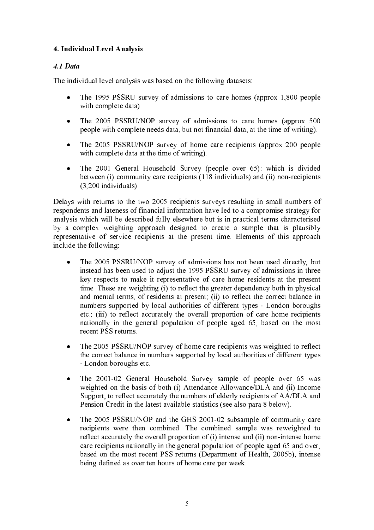# 4. Individual Level Analysis

# 4.1 Data

The individual level analysis was based on the following datasets:

- The 1995 PSSRU survey of admissions to care homes (approx 1,800 people with complete data).
- The 2005 PSSRU/NOP survey of admissions to care homes (approx 500) people with complete needs data, but not financial data, at the time of writing).
- The 2005 PSSRU/NOP survey of home care recipients (approx 200 people with complete data at the time of writing).
- The 2001 General Household Survey (people over 65): which is divided between (i) community care recipients (118 individuals) and (ii) non-recipients (3,200 individuals).

Delays with returns to the two 2005 recipients surveys resulting in small numbers of respondents and lateness of financial information have led to a compromise strategy for analysis which will be described fully elsewhere but is in practical terms characterised by a complex weighting approach designed to create a sample that is plausibly representative of service recipients at the present time. Elements of this approach include the following:

- The 2005 PSSRU/NOP survey of admissions has not been used directly, but instead has been used to adjust the 1995 PSSRU survey of admissions in three key respects to make it representative of care home residents at the present time. These are weighting (i) to reflect the greater dependency both in physical and mental terms, of residents at present; (ii) to reflect the correct balance in numbers supported by local authorities of different types - London boroughs etc.; (iii) to reflect accurately the overall proportion of care home recipients nationally in the general population of people aged 65, based on the most recent PSS returns.
- The 2005 PSSRU/NOP survey of home care recipients was weighted to reflect the correct balance in numbers supported by local authorities of different types - London boroughs etc.
- The 2001-02 General Household Survey sample of people over 65 was weighted on the basis of both (i) Attendance Allowance/DLA and (ii) Income Support, to reflect accurately the numbers of elderly recipients of AA/DLA and Pension Credit in the latest available statistics (see also para 8 below).
- The 2005 PSSRU/NOP and the GHS 2001-02 subsample of community care recipients were then combined. The combined sample was reweighted to reflect accurately the overall proportion of (i) intense and (ii) non-intense home care recipients nationally in the general population of people aged 65 and over, based on the most recent PSS returns (Department of Health, 2005b), intense being defined as over ten hours of home care per week.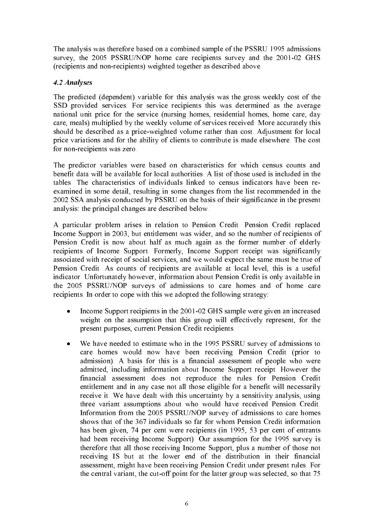The analysis was therefore based on a combined sample of the PSSRU 1995 admissions survey, the 2005 PSSRU/NOP home care recipients survey and the 2001-02 GHS (recipients and non-recipients) weighted together as described above.

# 4.2 Analyses

The predicted (dependent) variable for this analysis was the gross weekly cost of the SSD provided services. For service recipients this was determined as the average national unit price for the service (nursing homes, residential homes, home care, day care, meals) multiplied by the weekly volume of services received. More accurately this should be described as a price-weighted volume rather than cost. Adjustment for local price variations and for the ability of clients to contribute is made elsewhere. The cost for non-recipients was zero.

The predictor variables were based on characteristics for which census counts and benefit data will be available for local authorities. A list of those used is included in the tables. The characteristics of individuals linked to census indicators have been reexamined in some detail, resulting in some changes from the list recommended in the 2002 SSA analysis conducted by PSSRU on the basis of their significance in the present analysis: the principal changes are described below.

A particular problem arises in relation to Pension Credit. Pension Credit replaced Income Support in 2003, but entitlement was wider, and so the number of recipients of Pension Credit is now about half as much again as the former number of elderly recipients of Income Support. Formerly, Income Support receipt was significantly associated with receipt of social services, and we would expect the same must be true of Pension Credit. As counts of recipients are available at local level, this is a useful indicator. Unfortunately however, information about Pension Credit is only available in the 2005 PSSRU/NOP surveys of admissions to care homes and of home care recipients. In order to cope with this we adopted the following strategy:

- Income Support recipients in the 2001-02 GHS sample were given an increased weight on the assumption that this group will effectively represent, for the present purposes, current Pension Credit recipients.
- We have needed to estimate who in the 1995 PSSRU survey of admissions to care homes would now have been receiving Pension Credit (prior to admission). A basis for this is a financial assessment of people who were admitted, including information about Income Support receipt. However the financial assessment does not reproduce the rules for Pension Credit entitlement and in any case not all those eligible for a benefit will necessarily receive it. We have dealt with this uncertainty by a sensitivity analysis, using three variant assumptions about who would have received Pension Credit. Information from the 2005 PSSRU/NOP survey of admissions to care homes shows that of the 367 individuals so far for whom Pension Credit information has been given, 74 per cent were recipients (in 1995, 53 per cent of entrants had been receiving Income Support). Our assumption for the 1995 survey is therefore that all those receiving Income Support, plus a number of those not receiving IS but at the lower end of the distribution in their financial assessment, might have been receiving Pension Credit under present rules. For the central variant, the cut-off point for the latter group was selected, so that 75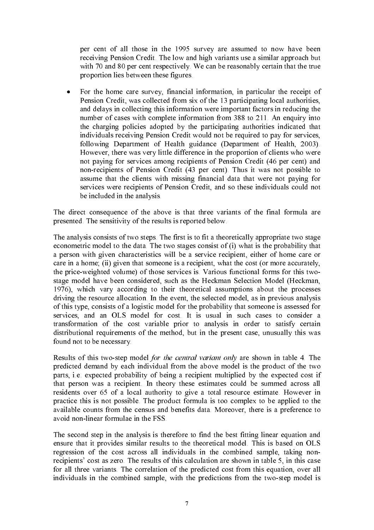per cent of all those in the 1995 survey are assumed to now have been receiving Pension Credit. The low and high variants use a similar approach but with 70 and 80 per cent respectively. We can be reasonably certain that the true proportion lies between these figures.

• For the home care survey, financial information, in particular the receipt of Pension Credit, was collected from six of the 13 participating local authorities, and delays in collecting this information were important factors in reducing the number of cases with complete information from 388 to 211. An enquiry into the charging policies adopted by the participating authorities indicated that individuals receiving Pension Credit would not be required to pay for services, following Department of Health guidance (Department of Health, 2003). However, there was very little difference in the proportion of clients who were not paying for services among recipients of Pension Credit (46 per cent) and non-recipients of Pension Credit (43 per cent). Thus it was not possible to assume that the clients with missing financial data that were not paying for services were recipients of Pension Credit, and so these individuals could not be included in the analysis.

The direct consequence of the above is that three variants of the final formula are presented. The sensitivity of the results is reported below.

The analysis consists of two steps. The first is to fit a theoretically appropriate two stage econometric model to the data. The two stages consist of (i) what is the probability that a person with given characteristics will be a service recipient, either of home care or care in a home; (ii) given that someone is a recipient, what the cost (or more accurately, the price-weighted volume) of those services is. Various functional forms for this twostage model have been considered, such as the Heckman Selection Model (Heckman, 1976), which vary according to their theoretical assumptions about the processes driving the resource allocation. In the event, the selected model, as in previous analysis of this type, consists of a logistic model for the probability that someone is assessed for services, and an OLS model for cost. It is usual in such cases to consider a transformation of the cost variable prior to analysis in order to satisfy certain distributional requirements of the method, but in the present case, unusually this was found not to be necessary.

Results of this two-step model for the central variant only are shown in table 4. The predicted demand by each individual from the above model is the product of the two parts, i.e. expected probability of being a recipient multiplied by the expected cost if that person was a recipient. In theory these estimates could be summed across all residents over 65 of a local authority to give a total resource estimate. However in practice this is not possible. The product formula is too complex to be applied to the available counts from the census and benefits data. Moreover, there is a preference to avoid non-linear formulae in the FSS.

The second step in the analysis is therefore to find the best fitting linear equation and ensure that it provides similar results to the theoretical model. This is based on OLS regression of the cost across all individuals in the combined sample, taking nonrecipients' cost as zero. The results of this calculation are shown in table 5, in this case for all three variants. The correlation of the predicted cost from this equation, over all individuals in the combined sample, with the predictions from the two-step model is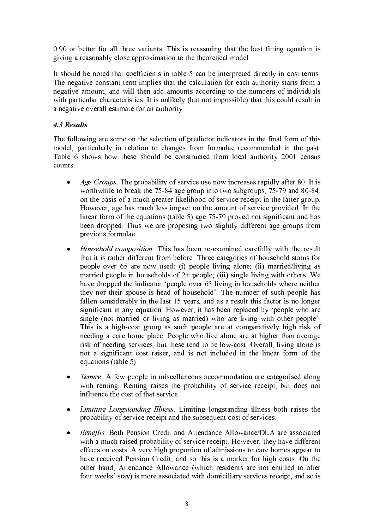0.90 or better for all three variants. This is reassuring that the best fitting equation is giving a reasonably close approximation to the theoretical model.

It should be noted that coefficients in table 5 can be interpreted directly in cost terms. The negative constant term implies that the calculation for each authority starts from a negative amount, and will then add amounts according to the numbers of individuals with particular characteristics. It is unlikely (but not impossible) that this could result in a negative overall estimate for an authority.

# 4.3 Results

The following are some on the selection of predictor indicators in the final form of this model, particularly in relation to changes from formulae recommended in the past. Table 6 shows how these should be constructed from local authority 2001 census counts.

- Age Groups. The probability of service use now increases rapidly after 80. It is worthwhile to break the 75-84 age group into two subgroups, 75-79 and 80-84, on the basis of a much greater likelihood of service receipt in the latter group. However, age has much less impact on the amount of service provided. In the linear form of the equations (table 5) age 75-79 proved not significant and has been dropped. Thus we are proposing two slightly different age groups from previous formulae.
- Household composition. This has been re-examined carefully with the result that it is rather different from before. Three categories of household status for people over 65 are now used: (i) people living alone; (ii) married/living as married people in households of  $2+$  people; (iii) single living with others. We have dropped the indicator 'people over 65 living in households where neither they nor their spouse is head of household'. The number of such people has fallen considerably in the last 15 years, and as a result this factor is no longer significant in any equation. However, it has been replaced by 'people who are single (not married or living as married) who are living with other people'. This is a high-cost group as such people are at comparatively high risk of needing a care home place. People who live alone are at higher than average risk of needing services, but these tend to be low-cost. Overall, living alone is not a significant cost raiser, and is not included in the linear form of the equations (table 5).
- Tenure. A few people in miscellaneous accommodation are categorised along with renting. Renting raises the probability of service receipt, but does not influence the cost of that service.
- Limiting Longstanding Illness. Limiting longstanding illness both raises the probability of service receipt and the subsequent cost of services.
- Benefits. Both Pension Credit and Attendance Allowance/DLA are associated with a much raised probability of service receipt. However, they have different effects on costs. A very high proportion of admissions to care homes appear to have received Pension Credit, and so this is a marker for high costs. On the other hand, Attendance Allowance (which residents are not entitled to after four weeks' stay) is more associated with domiciliary services receipt, and so is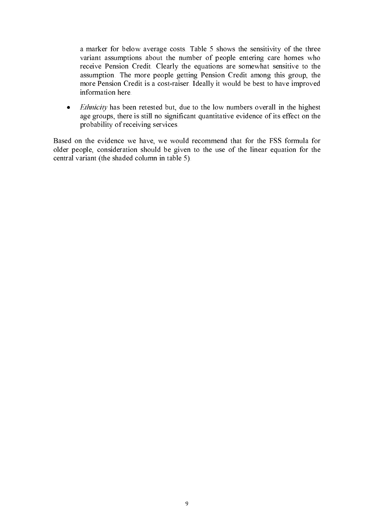a marker for below average costs. Table 5 shows the sensitivity of the three variant assumptions about the number of people entering care homes who receive Pension Credit. Clearly the equations are somewhat sensitive to the assumption. The more people getting Pension Credit among this group, the more Pension Credit is a cost-raiser. Ideally it would be best to have improved information here.

• *Ethnicity* has been retested but, due to the low numbers overall in the highest age groups, there is still no significant quantitative evidence of its effect on the probability of receiving services.

Based on the evidence we have, we would recommend that for the FSS formula for older people, consideration should be given to the use of the linear equation for the central variant (the shaded column in table 5).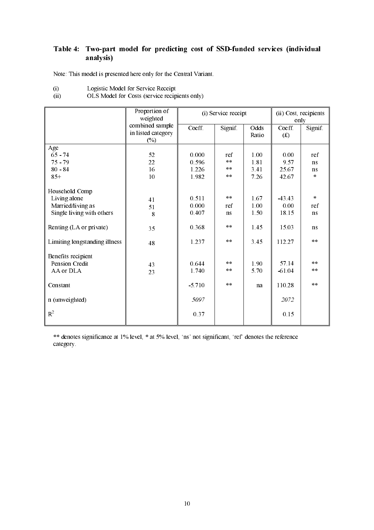# Table 4: Two-part model for predicting cost of SSD-funded services (individual analysis)

Note: This model is presented here only for the Central Variant.

| (i) | Logistic Model for Service Receipt |  |  |
|-----|------------------------------------|--|--|
|     |                                    |  |  |

|                               | Proportion of<br>weighted    |          | (i) Service receipt | (ii) Cost, recipients<br>only |          |         |
|-------------------------------|------------------------------|----------|---------------------|-------------------------------|----------|---------|
|                               | combined sample              | Coeff.   | Signif.             | Odds                          | Coeff.   | Signif. |
|                               | in listed category<br>$(\%)$ |          |                     | Ratio                         | (f(x))   |         |
| Age                           |                              |          |                     |                               |          |         |
| $65 - 74$                     | 52                           | 0.000    | ref                 | 1.00                          | 0.00     | ref     |
| $75 - 79$                     | 22                           | 0.596    | $**$                | 1.81                          | 9.57     | ns      |
| $80 - 84$                     | 16                           | 1.226    | $**$                | 3.41                          | 25.67    | ns      |
| $85+$                         | 10                           | 1.982    | $**$                | 7.26                          | 42.67    | $\star$ |
| Household Comp                |                              |          |                     |                               |          |         |
| Living alone                  | 41                           | 0.511    | $\ast$ $\ast$       | 1.67                          | $-43.43$ | $\pm$   |
| Married/living as             | 51                           | 0.000    | ref                 | 1.00                          | 0.00     | ref     |
| Single living with others     | 8                            | 0.407    | <sub>ns</sub>       | 1.50                          | 18.15    | ns      |
| Renting (LA or private)       | 35                           | 0.368    | $* *$               | 1.45                          | 15.03    | ns      |
| Limiting longstanding illness | 48                           | 1.237    | $\pm$ $\pm$         | 3.45                          | 112.27   | $* *$   |
| Benefits recipient            |                              |          |                     |                               |          |         |
| <b>Pension Credit</b>         | 43                           | 0.644    | $\pm$ $\pm$         | 1.90                          | 57.14    | $* *$   |
| AA or DLA                     | 23                           | 1.740    | $* *$               | 5.70                          | $-61.04$ | $* *$   |
| Constant                      |                              | $-5.710$ | $**$                | na                            | 110.28   | $* *$   |
| n (unweighted)                |                              | 5097     |                     |                               | 2072     |         |
| $R^2$                         |                              | 0.37     |                     |                               | 0.15     |         |

\*\* denotes significance at 1% level, \* at 5% level, 'ns' not significant, 'ref' denotes the reference category.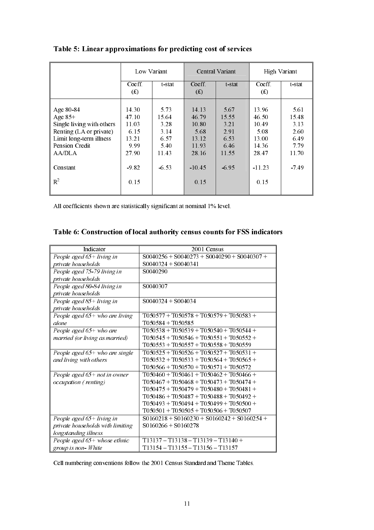|                                                                                                                                                            | Low Variant                                                                  |                                                                   |                                                                                | Central Variant                                                   | <b>High Variant</b>                                                            |                                                                   |
|------------------------------------------------------------------------------------------------------------------------------------------------------------|------------------------------------------------------------------------------|-------------------------------------------------------------------|--------------------------------------------------------------------------------|-------------------------------------------------------------------|--------------------------------------------------------------------------------|-------------------------------------------------------------------|
|                                                                                                                                                            | Coeff.<br>(f(x))                                                             | t-stat                                                            | Coeff.<br>(f)                                                                  | t-stat                                                            | Coeff.<br>(f)                                                                  | t-stat                                                            |
| Age 80-84<br>Age $85+$<br>Single living with others<br>Renting (LA or private)<br>Limit long-term illness<br>Pension Credit<br>AA/DLA<br>Constant<br>$R^2$ | 14.30<br>47.10<br>11.03<br>6.15<br>13.21<br>9.99<br>27.90<br>$-9.82$<br>0.15 | 5.73<br>15.64<br>3.28<br>3.14<br>6.57<br>5.40<br>11.43<br>$-6.53$ | 14.13<br>46.79<br>10.80<br>5.68<br>13.12<br>11.93<br>28.16<br>$-10.45$<br>0.15 | 5.67<br>15.55<br>3.21<br>2.91<br>6.53<br>6.46<br>11.55<br>$-6.95$ | 13.96<br>46.50<br>10.49<br>5.08<br>13.00<br>14.36<br>28.47<br>$-11.23$<br>0.15 | 5.61<br>15.48<br>3.13<br>2.60<br>6.49<br>7.79<br>11.70<br>$-7.49$ |
|                                                                                                                                                            |                                                                              |                                                                   |                                                                                |                                                                   |                                                                                |                                                                   |

Table 5: Linear approximations for predicting cost of services

All coefficients shown are statistically significant at nominal 1% level.

| Table 6: Construction of local authority census counts for FSS indicators |  |  |  |  |
|---------------------------------------------------------------------------|--|--|--|--|
|                                                                           |  |  |  |  |

| Indicator                        | 2001 Census                                   |
|----------------------------------|-----------------------------------------------|
| People aged $65+$ living in      | $S0040256 + S0040273 + S0040290 + S0040307 +$ |
| private households               | $S0040324 + S0040341$                         |
| People aged 75-79 living in      | S0040290                                      |
| private households               |                                               |
| People aged 80-84 living in      | S0040307                                      |
| private households               |                                               |
| People aged 85+ living in        | $S0040324 + S004034$                          |
| private households               |                                               |
| People aged 65+ who are living   | $T050577 + T050578 + T050579 + T050583 +$     |
| alone                            | $T050584 + T050585$                           |
| People aged $65+$ who are        | $T050538 + T050539 + T050540 + T050544 +$     |
| married (or living as married)   | $T050545 + T050546 + T050551 + T050552 +$     |
|                                  | $T050553 + T050557 + T050558 + T050559$       |
| People aged $65+$ who are single | $T050525 + T050526 + T050527 + T050531 +$     |
| and living with others           | $T050532 + T050533 + T050564 + T050565 +$     |
|                                  | $T050566 + T050570 + T050571 + T050572$       |
| People aged $65+$ not in owner   | $T050460 + T050461 + T050462 + T050466 +$     |
| occupation (renting)             | $T050467 + T050468 + T050473 + T050474 +$     |
|                                  | $T050475 + T050479 + T050480 + T050481 +$     |
|                                  | $T050486 + T050487 + T050488 + T050492 +$     |
|                                  | $T050493 + T050494 + T050499 + T050500 +$     |
|                                  | $T050501 + T050505 + T050506 + T050507$       |
| People aged $65+$ living in      | $S0160218 + S0160230 + S0160242 + S0160254 +$ |
| private households with limiting | $S0160266 + S0160278$                         |
| longstanding illness             |                                               |
| People aged $65+$ whose ethnic   | $T13137 - T13138 - T13139 - T13140 +$         |
| group is non-White               | T13154 - T13155 - T13156 - T13157             |

Cell numbering conventions follow the 2001 Census Standard and Theme Tables.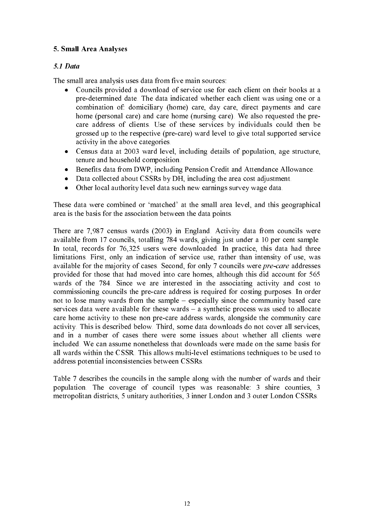# 5. Small Area Analyses

# 5.1 Data

The small area analysis uses data from five main sources:

- Councils provided a download of service use for each client on their books at a pre-determined date. The data indicated whether each client was using one or a combination of: domiciliary (home) care, day care, direct payments and care home (personal care) and care home (nursing care). We also requested the precare address of clients. Use of these services by individuals could then be grossed up to the respective (pre-care) ward level to give total supported service activity in the above categories.
- Census data at 2003 ward level, including details of population, age structure, tenure and household composition.
- Benefits data from DWP, including Pension Credit and Attendance Allowance.
- Data collected about CSSRs by DH, including the area cost adjustment.<br>• Other local authority level data such new earnings survey wage data
- Other local authority level data such new earnings survey wage data.

These data were combined or 'matched' at the small area level, and this geographical area is the basis for the association between the data points.

There are 7,987 census wards (2003) in England. Activity data from councils were available from 17 councils, totalling 784 wards, giving just under a 10 per cent sample. In total, records for 76,325 users were downloaded. In practice, this data had three limitations. First, only an indication of service use, rather than intensity of use, was available for the majority of cases. Second, for only 7 councils were pre-care addresses provided for those that had moved into care homes, although this did account for 565 wards of the 784. Since we are interested in the associating activity and cost to commissioning councils the pre-care address is required for costing purposes. In order not to lose many wards from the sample – especially since the community based care services data were available for these wards – a synthetic process was used to allocate care home activity to these non pre-care address wards, alongside the community care activity. This is described below. Third, some data downloads do not cover all services, and in a number of cases there were some issues about whether all clients were included. We can assume nonetheless that downloads were made on the same basis for all wards within the CSSR. This allows multi-level estimations techniques to be used to address potential inconsistencies between CSSRs.

Table 7 describes the councils in the sample along with the number of wards and their population. The coverage of council types was reasonable: 3 shire counties, 3 metropolitan districts, 5 unitary authorities, 3 inner London and 3 outer London CSSRs.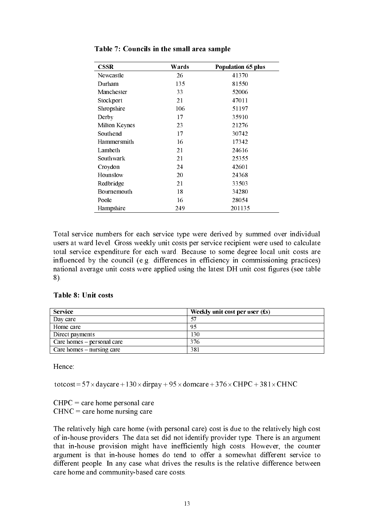| <b>CSSR</b>        | Wards | <b>Population 65 plus</b> |
|--------------------|-------|---------------------------|
| Newcastle          | 26    | 41370                     |
| Durham             | 135   | 81550                     |
| Manchester         | 33    | 52006                     |
| Stockport          | 21    | 47011                     |
| Shropshire         | 106   | 51197                     |
| Derby              | 17    | 35910                     |
| Milton Keynes      | 23    | 21276                     |
| Southend           | 17    | 30742                     |
| Hammersmith        | 16    | 17342                     |
| Lambeth            | 21    | 24616                     |
| Southwark          | 21    | 25355                     |
| Croydon            | 24    | 42601                     |
| Hounslow           | 20    | 24368                     |
| Redbridge          | 21    | 33503                     |
| <b>Bournemouth</b> | 18    | 34280                     |
| Poole              | 16    | 28054                     |
| Hampshire          | 249   | 201135                    |

Table 7: Councils in the small area sample

Total service numbers for each service type were derived by summed over individual users at ward level. Gross weekly unit costs per service recipient were used to calculate total service expenditure for each ward. Because to some degree local unit costs are influenced by the council (e.g. differences in efficiency in commissioning practices) national average unit costs were applied using the latest DH unit cost figures (see table 8).

#### Table 8: Unit costs

| <b>Service</b>              | Weekly unit cost per user $(f_s)$ |
|-----------------------------|-----------------------------------|
| Day care                    |                                   |
| Home care                   | 95                                |
| Direct payments             | 130                               |
| Care homes – personal care  | 376                               |
| Care homes $-$ nursing care | 381                               |

Hence:

totcost =  $57 \times$  daycare +  $130 \times$  dirpay +  $95 \times$  domcare +  $376 \times$  CHPC +  $381 \times$  CHNC

 $CHPC =$  care home personal care  $CHNC =$  care home nursing care

The relatively high care home (with personal care) cost is due to the relatively high cost of in-house providers. The data set did not identify provider type. There is an argument that in-house provision might have inefficiently high costs. However, the counter argument is that in-house homes do tend to offer a somewhat different service to different people. In any case what drives the results is the relative difference between care home and community-based care costs.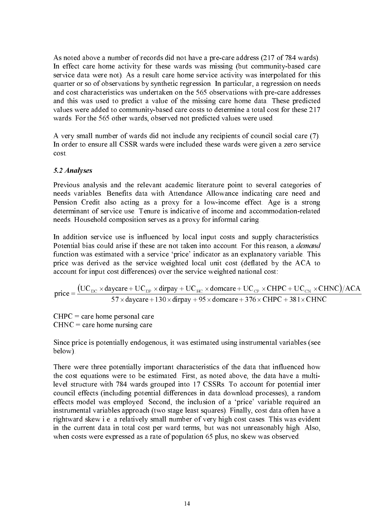As noted above a number of records did not have a pre-care address (217 of 784 wards). In effect care home activity for these wards was missing (but community-based care service data were not). As a result care home service activity was interpolated for this quarter or so of observations by synthetic regression. In particular, a regression on needs and cost characteristics was undertaken on the 565 observations with pre-care addresses and this was used to predict a value of the missing care home data. These predicted values were added to community-based care costs to determine a total cost for these 217 wards. For the 565 other wards, observed not predicted values were used.

A very small number of wards did not include any recipients of council social care (7). In order to ensure all CSSR wards were included these wards were given a zero service cost.

## 5.2 Analyses

Previous analysis and the relevant academic literature point to several categories of needs variables. Benefits data with Attendance Allowance indicating care need and Pension Credit also acting as a proxy for a low-income effect. Age is a strong determinant of service use. Tenure is indicative of income and accommodation-related needs. Household composition serves as a proxy for informal caring.

In addition service use is influenced by local input costs and supply characteristics. Potential bias could arise if these are not taken into account. For this reason, a *demand* function was estimated with a service 'price' indicator as an explanatory variable. This price was derived as the service weighted local unit cost (deflated by the ACA to account for input cost differences) over the service weighted national cost:

 $\frac{(OC_{DC} \times \text{daycalc} + OC_{DP} \times \text{un pay} + OC_{HC} \times \text{volume})}{276 \times 1000 \times 226 \times 201 \times 201 \times 200}$  $\mathbf{r}$  +  $\mathbf{r}$  +  $\mathbf{r}$  +  $\mathbf{r}$  +  $\mathbf{r}$  +  $\mathbf{r}$  +  $\mathbf{r}$  +  $\mathbf{r}$  +  $\mathbf{r}$  +  $\mathbf{r}$  +  $\mathbf{r}$  +  $\mathbf{r}$  +  $\mathbf{r}$  +  $\mathbf{r}$  +  $\mathbf{r}$  +  $\mathbf{r}$  +  $\mathbf{r}$  +  $\mathbf{r}$  +  $\mathbf{r}$  +  $\mathbf{r}$  +  $\frac{1}{2} = \frac{(1.6 \times 10^{-14} \text{ m}) \times 10^{-14} \text{ m}}{57 \times \text{daycare} + 130 \times \text{dirpay} + 95 \times \text{domcare} + 376 \times \text{CHPC} + 381 \times \text{CH}^2)}$ 

 $CHPC =$  care home personal care  $CHNC =$  care home nursing care

Since price is potentially endogenous, it was estimated using instrumental variables (see below).

For the second care<br>personal care<br>personal care<br>entrising care<br>trially important characteristics of the data that influenced how<br>were to be estimated. First, as noted above, the data have a multi-<br>1784 wards grouped into 1 price  $\frac{x^2 + 16x - 16x + 16x}{57 \times 480 \times 200}$  of  $\frac{1}{2}$  and  $\frac{1}{2}$  and  $\frac{1}{2}$  and  $\frac{1}{2}$   $\frac{1}{2}$   $\frac{1}{2}$   $\frac{1}{2}$   $\frac{1}{2}$   $\frac{1}{2}$   $\frac{1}{2}$   $\frac{1}{2}$   $\frac{1}{2}$   $\frac{1}{2}$   $\frac{1}{2}$   $\frac{1}{2}$   $\frac{1}{2}$  There were three potentially important characteristics of the data that influenced how the cost equations were to be estimated. First, as noted above, the data have a multilevel structure with 784 wards grouped into 17 CSSRs. To account for potential inter council effects (including potential differences in data download processes), a random effects model was employed. Second, the inclusion of a 'price' variable required an instrumental variables approach (two stage least squares). Finally, cost data often have a rightward skew i.e. a relatively small number of very high cost cases. This was evident in the current data in total cost per ward terms, but was not unreasonably high. Also, when costs were expressed as a rate of population 65 plus, no skew was observed.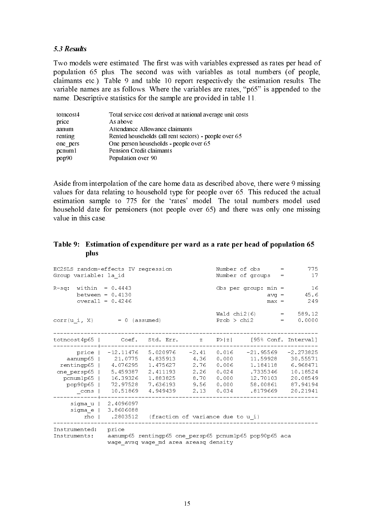# $\overline{\phantom{a}}$

Two models were estimated. The first was with variables expressed as rates per head of population 65 plus. The second was with variables as total numbers (of people, claimants etc.). Table 9 and table 10 report respectively the estimation results. The variable names are as follows. Where the variables are rates, "p65" is appended to the name. Descriptive statistics for the sample are provided in table 11.

| totncost4 | Total service cost derived at national average unit costs |
|-----------|-----------------------------------------------------------|
| price     | As above                                                  |
| aanum     | Attendance Allowance claimants                            |
| renting   | Rented households (all rent sectors) - people over 65     |
| one pers  | One person households - people over 65                    |
| pcnum1    | Pension Credit claimants                                  |
| pop90     | Population over 90                                        |

Aside from interpolation of the care home data as described above, there were 9 missing values for data relating to household type for people over 65. This reduced the actual estimation sample to 775 for the 'rates' model. The total numbers model used household date for pensioners (not people over 65) and there was only one missing value in this case.

#### Table 9: Estimation of expenditure per ward as a rate per head of population 65 plus  $\mathbf{plus}$  random-effects IV regression  $\mathbf{H}$  random-effects IV  $\mathbf{H}$  random-effects IV  $\mathbf{H}$

| EC2SLS random-effects IV regression<br>Group variable: la id                      |                                                                                           |                                                                      | Number of obs<br>$=$<br>Number of groups<br>$=$         | 775<br>17                                                   |                                                                                     |                                                                                     |
|-----------------------------------------------------------------------------------|-------------------------------------------------------------------------------------------|----------------------------------------------------------------------|---------------------------------------------------------|-------------------------------------------------------------|-------------------------------------------------------------------------------------|-------------------------------------------------------------------------------------|
| $R-sq$ : within = 0.4443<br>between = $0.4130$<br>$overall = 0.4246$              |                                                                                           |                                                                      |                                                         |                                                             | Obs per group: $min =$<br>$avq =$<br>$max =$                                        | -16<br>45.6<br>249                                                                  |
| $corr(u i, X) = 0$ (assumed)                                                      |                                                                                           |                                                                      |                                                         | Wald $chi2(6)$<br>Prob > chi2                               | $=$                                                                                 | 589.12<br>$\equiv$ 100 $\equiv$<br>0.0000                                           |
| totncost4p65   Coef. Std. Err. z P> z  [95% Conf. Interval]                       |                                                                                           |                                                                      |                                                         |                                                             |                                                                                     |                                                                                     |
| price  <br>aanump65<br>rentingp65<br>one persp65<br>pcnumlp65<br>pop90p65<br>cons | -12.11476 5.020976<br>21.0775<br>4.076295<br>5.459387<br>16.39326<br>72.97528<br>10.51869 | 4.835913<br>1.475627<br>2.411193<br>1.883825<br>7.636193<br>4.949439 | $-2.41$<br>4.36<br>2.76<br>2.26<br>8.70<br>9.56<br>2.13 | 0.016<br>0.000<br>0.006<br>0.024<br>0.000<br>0.000<br>0.034 | $-21.95569$<br>11.59928<br>1.184118<br>.7335346<br>12.70103<br>58.00861<br>.8179669 | $-2.273825$<br>30.55571<br>6.968471<br>10.18524<br>20.08549<br>87.94194<br>20.21941 |
| sigma u   2.4096097<br>siqma e<br>rho                                             | 3.8606088<br>.2803512                                                                     | (fraction of variance due to u i)                                    |                                                         |                                                             |                                                                                     |                                                                                     |
| Instrumented:<br>Instruments:                                                     | price                                                                                     | wage avsq wage md area areasq density                                |                                                         |                                                             | aanump65 rentingp65 one persp65 pcnum1p65 pop90p65 aca                              |                                                                                     |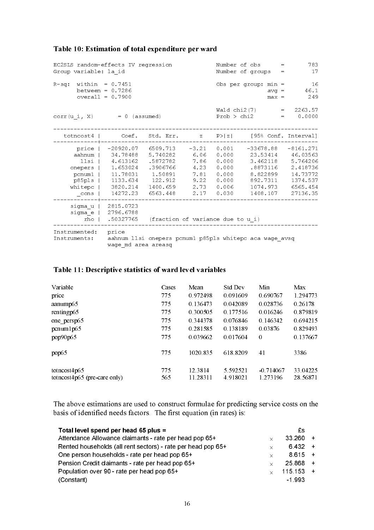| EC2SLS random-effects IV regression<br>Group variable: la id                  |                                                                                  | Number of obs<br>783<br>$=$<br>Number of groups<br>17<br>$=$                                         |                                                                 |                                                                      |                                                                                               |                                                                                                 |
|-------------------------------------------------------------------------------|----------------------------------------------------------------------------------|------------------------------------------------------------------------------------------------------|-----------------------------------------------------------------|----------------------------------------------------------------------|-----------------------------------------------------------------------------------------------|-------------------------------------------------------------------------------------------------|
| $R-sq$ : within = 0.7451<br>between = $0.7286$<br>$overall = 0.7900$          |                                                                                  | 16<br>Obs per group: $min =$<br>46.1<br>$\text{avg}$ =<br>249<br>$max =$                             |                                                                 |                                                                      |                                                                                               |                                                                                                 |
| corr (u i, X)                                                                 | $= 0$ (assumed)                                                                  |                                                                                                      |                                                                 | Prob > chi2                                                          | Wald chi2(7)<br>$=$                                                                           | $= 2263.57$<br>0.0000                                                                           |
|                                                                               | totncost4   Coef. Std. Err. z                                                    |                                                                                                      |                                                                 |                                                                      | $P >  z $ [95% Conf. Interval]                                                                |                                                                                                 |
| price  <br>aahnum<br>llsi  <br>onepers<br>pcnum1<br>p85pls<br>whitepc<br>cons | 34.78488<br>4.613162<br>1.653024<br>11.78031<br>1133.634<br>3820.214<br>14272.23 | -20920.07 6509.713<br>5.740282<br>.5872782<br>.3906766<br>1.50891<br>122.912<br>1400.659<br>6563.448 | $-3.21$<br>6.06<br>7.86<br>4.23<br>7.81<br>9.22<br>2.73<br>2.17 | 0.001<br>0.000<br>0.000<br>0.000<br>0.000<br>0.000<br>0.006<br>0.030 | -33678.88<br>23.53414<br>3.462118<br>.8873116<br>8.822899<br>892.7311<br>1074.973<br>1408.107 | $-8161.271$<br>46.03563<br>5.764206<br>2.418736<br>14.73772<br>1374.537<br>6565.454<br>27136.35 |
| sigma u<br>sigma e<br>rho                                                     | 2815.0723<br>2796.6788<br>.50327765                                              | (fraction of variance due to u i)                                                                    |                                                                 |                                                                      |                                                                                               |                                                                                                 |
| Instrumented:<br>Instruments:                                                 | price<br>wage md area areasg                                                     |                                                                                                      |                                                                 |                                                                      | aahnum llsi onepers pcnum1 p85pls whitepc aca wage avsq                                       |                                                                                                 |

# Table 11: Descriptive statistics of ward level variables

| Variable                                       | Cases      | Mean                | <b>Std Dev</b>       | Min                     | Max                  |
|------------------------------------------------|------------|---------------------|----------------------|-------------------------|----------------------|
| price                                          | 775        | 0.972498            | 0.091609             | 0.690767                | 1.294773             |
| aanump65                                       | 775        | 0.136473            | 0.042089             | 0.028736                | 0.26178              |
| rentingp65                                     | 775        | 0.300505            | 0.177516             | 0.016246                | 0.879819             |
| one persp65                                    | 775        | 0.344378            | 0.076846             | 0.146342                | 0.694215             |
| pcnum1p65                                      | 775        | 0.281585            | 0.138189             | 0.03876                 | 0.829493             |
| pop90p65                                       | 775        | 0.039662            | 0.017604             | $\theta$                | 0.137667             |
| pop65                                          | 775        | 1020.835            | 618.8209             | 41                      | 3386                 |
| totncost4p65<br>$totncost4p65$ (pre-care only) | 775<br>565 | 12.3814<br>11.28311 | 5.592521<br>4.918021 | $-0.714067$<br>1.273196 | 33.04225<br>28.56871 |

The above estimations are used to construct formulae for predicting service costs on the basis of identified needs factors. The first equation (in rates) is:

| Total level spend per head 65 plus =                         |          | £s          |  |
|--------------------------------------------------------------|----------|-------------|--|
| Attendance Allowance claimants - rate per head pop 65+       | $\times$ | $33\,260 +$ |  |
| Rented households (all rent sectors) - rate per head pop 65+ | $\times$ | $6432 +$    |  |
| One person households - rate per head pop 65+                | $\times$ | $8615 +$    |  |
| Pension Credit claimants - rate per head pop 65+             | $\times$ | $25868 +$   |  |
| Population over 90 - rate per head pop 65+                   | $\times$ | $115.153 +$ |  |
| (Constant)                                                   |          | $-1.993$    |  |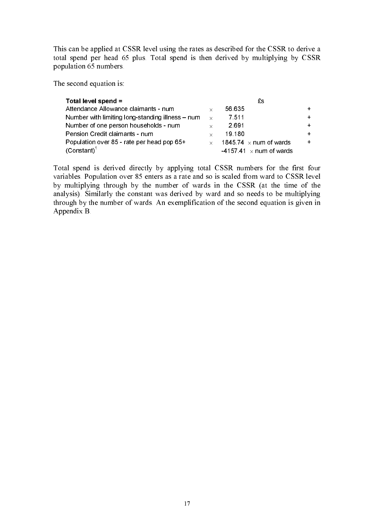This can be applied at CSSR level using the rates as described for the CSSR to derive a total spend per head 65 plus. Total spend is then derived by multiplying by CSSR population 65 numbers.

The second equation is:

| Total level spend =                              |              | £s                             |  |
|--------------------------------------------------|--------------|--------------------------------|--|
| Attendance Allowance claimants - num             | $\times$     | 56.635                         |  |
| Number with limiting long-standing illness – num | $\mathbf{x}$ | 7.511                          |  |
| Number of one person households - num            | $\times$     | 2.691                          |  |
| Pension Credit claimants - num                   | $\times$     | 19 180                         |  |
| Population over 85 - rate per head pop 65+       | $\times$     | 1845 74 $\times$ num of wards  |  |
| $(Constant)^1$                                   |              | -4157.41 $\times$ num of wards |  |

Total spend is derived directly by applying total CSSR numbers for the first four variables. Population over 85 enters as a rate and so is scaled from ward to CSSR level by multiplying through by the number of wards in the CSSR (at the time of the analysis). Similarly the constant was derived by ward and so needs to be multiplying through by the number of wards. An exemplification of the second equation is given in Appendix B.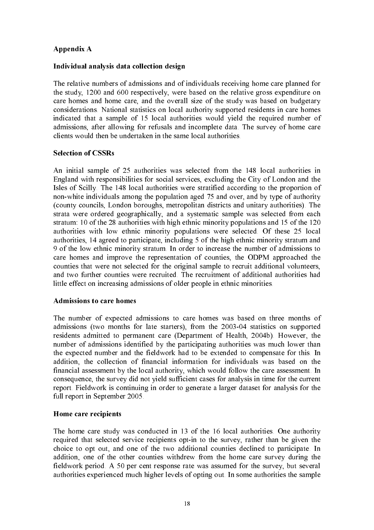# Appendix A

# Individual analysis data collection design

The relative numbers of admissions and of individuals receiving home care planned for the study, 1200 and 600 respectively, were based on the relative gross expenditure on care homes and home care, and the overall size of the study was based on budgetary considerations. National statistics on local authority supported residents in care homes indicated that a sample of 15 local authorities would yield the required number of admissions, after allowing for refusals and incomplete data. The survey of home care clients would then be undertaken in the same local authorities.

## Selection of CSSRs

An initial sample of 25 authorities was selected from the 148 local authorities in England with responsibilities for social services, excluding the City of London and the Isles of Scilly. The 148 local authorities were stratified according to the proportion of non-white individuals among the population aged 75 and over, and by type of authority (county councils, London boroughs, metropolitan districts and unitary authorities). The strata were ordered geographically, and a systematic sample was selected from each stratum: 10 of the 28 authorities with high ethnic minority populations and 15 of the 120 authorities with low ethnic minority populations were selected. Of these 25 local authorities, 14 agreed to participate, including 5 of the high ethnic minority stratum and 9 of the low ethnic minority stratum. In order to increase the number of admissions to care homes and improve the representation of counties, the ODPM approached the counties that were not selected for the original sample to recruit additional volunteers, and two further counties were recruited. The recruitment of additional authorities had little effect on increasing admissions of older people in ethnic minorities.

### Admissions to care homes

The number of expected admissions to care homes was based on three months of admissions (two months for late starters), from the 2003-04 statistics on supported residents admitted to permanent care (Department of Health, 2004b). However, the number of admissions identified by the participating authorities was much lower than the expected number and the fieldwork had to be extended to compensate for this. In addition, the collection of financial information for individuals was based on the financial assessment by the local authority, which would follow the care assessment. In consequence, the survey did not yield sufficient cases for analysis in time for the current report. Fieldwork is continuing in order to generate a larger dataset for analysis for the full report in September 2005.

### Home care recipients

The home care study was conducted in 13 of the 16 local authorities. One authority required that selected service recipients opt-in to the survey, rather than be given the choice to opt out, and one of the two additional counties declined to participate. In addition, one of the other counties withdrew from the home care survey during the fieldwork period. A 50 per cent response rate was assumed for the survey, but several authorities experienced much higher levels of opting out. In some authorities the sample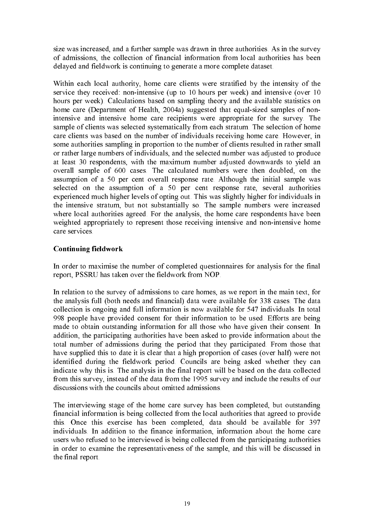size was increased, and a further sample was drawn in three authorities. As in the survey of admissions, the collection of financial information from local authorities has been delayed and fieldwork is continuing to generate a more complete dataset.

Within each local authority, home care clients were stratified by the intensity of the service they received: non-intensive (up to 10 hours per week) and intensive (over 10 hours per week). Calculations based on sampling theory and the available statistics on home care (Department of Health, 2004a) suggested that equal-sized samples of nonintensive and intensive home care recipients were appropriate for the survey. The sample of clients was selected systematically from each stratum. The selection of home care clients was based on the number of individuals receiving home care. However, in some authorities sampling in proportion to the number of clients resulted in rather small or rather large numbers of individuals, and the selected number was adjusted to produce at least 30 respondents, with the maximum number adjusted downwards to yield an overall sample of 600 cases. The calculated numbers were then doubled, on the assumption of a 50 per cent overall response rate. Although the initial sample was selected on the assumption of a 50 per cent response rate, several authorities experienced much higher levels of opting out. This was slightly higher for individuals in the intensive stratum, but not substantially so. The sample numbers were increased where local authorities agreed. For the analysis, the home care respondents have been weighted appropriately to represent those receiving intensive and non-intensive home care services.

# Continuing fieldwork

In order to maximise the number of completed questionnaires for analysis for the final report, PSSRU has taken over the fieldwork from NOP.

In relation to the survey of admissions to care homes, as we report in the main text, for the analysis full (both needs and financial) data were available for 338 cases. The data collection is ongoing and full information is now available for 547 individuals. In total 998 people have provided consent for their information to be used. Efforts are being made to obtain outstanding information for all those who have given their consent. In addition, the participating authorities have been asked to provide information about the total number of admissions during the period that they participated. From those that have supplied this to date it is clear that a high proportion of cases (over half) were not identified during the fieldwork period. Councils are being asked whether they can indicate why this is. The analysis in the final report will be based on the data collected from this survey, instead of the data from the 1995 survey and include the results of our discussions with the councils about omitted admissions.

The interviewing stage of the home care survey has been completed, but outstanding financial information is being collected from the local authorities that agreed to provide this. Once this exercise has been completed, data should be available for 397 individuals. In addition to the finance information, information about the home care users who refused to be interviewed is being collected from the participating authorities in order to examine the representativeness of the sample, and this will be discussed in the final report.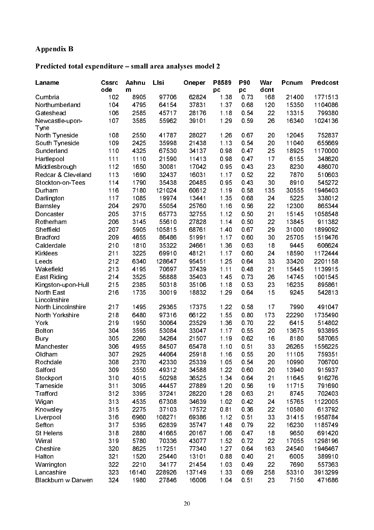# Appendix B

### Predicted total expenditure – small area analyses model 2

| Laname                  | <b>Cssrc</b><br>ode | Aahnu<br>m   | Lisi            | Oneper         | P8589<br>pc | P90<br>pc    | War<br>dcnt | Pcnum         | Predcost          |
|-------------------------|---------------------|--------------|-----------------|----------------|-------------|--------------|-------------|---------------|-------------------|
| Cumbria                 | 102                 | 8905         | 97706           | 62824          | 1 3 8       | 0.73         | 168         | 21400         | 1771513           |
| Northumberland          | 104                 | 4795         | 64154           | 37831          | 137         | 068          | 120         | 15350         | 1104086           |
| Gateshead               | 106                 | 2585         | 45717           | 28176          | 1.18        | 0.54         | 22          | 13315         | 799380            |
| Newcastle-upon-<br>Tyne | 107                 | 3585         | 55962           | 39101          | 1.29        | 0.59         | 26          | 16340         | 1024136           |
| North Tyneside          | 108                 | 2550         | 41787           | 28027          | 1.26        | 067          | 20          | 12045         | 752837            |
| South Tyneside          | 109                 | 2425         | 35998           | 21438          | 1 13        | 0.54         | 20          | 11040         | 655669            |
| Sunderland              | 110                 | 4325         | 67530           | 34137          | 098         | 0.47         | 25          | 18925         | 1170000           |
| Hartlepool              | 111                 | 1110         | 21590           | 11413          | 0.98        | 0.47         | 17          | 6155          | 348620            |
| Middlesbrough           | 112                 | 1650         | 30081           | 17042          | 0.95        | 0.43         | 23          | 8230          | 486070            |
| Redcar & Cleveland      | 113                 | 1690         | 32437           | 16031          | 1.17        | 0.52         | 22          | 7870          | 510603            |
| Stockton-on-Tees        | 114                 | 1790         | 35438           | 20485          | 0.95        | 0.43         | 30          | 8910          | 545272            |
| Durham                  | 116                 | 7180         | 121024          | 60612          | 1 19        | 0.58         | 135         | 30555         | 1946403           |
| Darlington              | 117                 | 1085         | 19974           | 13441          | 1.35        | 068          | 24          | 5225          | 338012            |
| <b>Barnsley</b>         | 204                 | 2970         | 55054           | 25760          | 1.16        | 0.56         | 22          | 12300         | 865344            |
| Doncaster               | 205                 | 3715         | 65773           | 32755          | 1.12        | 0.50         | 21          | 15145         | 1058548           |
| Rotherham               | 206                 | 3145         | 55610           | 27828          | 1.14        | 0.50         | 22          | 13845         | 911382            |
| Sheffield               | 207                 | 5905         | 105815          | 68761          | 1.40        | 067          | 29          | 31000         | 1899092           |
| <b>Bradford</b>         | 209                 | 4655         | 86486           | 51991          | 1.17        | 0.60         | 30          | 25705         | 1519476           |
| Calderdale              | 210                 | 1810         | 35322           | 24661          | 1 3 6       | 0 63         | 18          | 9445          | 606624            |
| Kirklees                | 211                 | 3225         | 69910           | 48121          | 1.17        | 0.60         | 24          | 18590         | 1172444           |
| Leeds                   | 212                 | 6340         | 128647          | 95451          | 1.25        | 064          | 33          | 33420         | 2201158           |
| Wakefield               | 213                 | 4195         | 70697           | 37439          | 1.11        | 0.48         | 21          | 15445         | 1139915           |
| East Riding             | 214                 | 3525         | 56888           | 35403          | 145         | 0.73         | 26          | 14745         | 1001545           |
| Kingston-upon-Hull      | 215                 | 2385         | 50318           | 35106          | 1.18        | 0.53         | 23          | 16235         | 895861            |
| North East              | 216                 | 1735         | 30019           | 18832          | 1.29        | 064          | 15          | 9245          | 542813            |
| Lincolnshire            |                     |              |                 |                |             |              |             |               |                   |
| North Lincolnshire      | 217                 | 1495         | 29365           | 17375          | 1.22        | 0.58         | 17          | 7990          | 491047            |
| North Yorkshire         | 218                 | 6480         | 97316           | 66122          | 155         | 0.80         | 173         | 22290         | 1735490           |
| York                    | 219                 | 1950         | 30064           | 23529          | 1 3 6       | 0.70         | 22          | 6415          | 514802            |
| <b>Bolton</b>           | 304                 | 3595         | 53084           | 33047          | 1.17        | 0.55         | 20          | 13675         | 933895            |
| <b>Bury</b>             | 305                 | 2260         | 34264           | 21507          | 1.19        | 0.62         | 16          | 8180          | 587065            |
| Manchester              | 306                 | 4955         | 84507           | 65478          | 1.10        | 0.51         | 33          | 26265         | 1556225           |
| Oldham                  | 307                 | 2925         | 44064           | 25918          | 1.16        | 0.55         | 20          | 11105         | 759351            |
| Rochdale                | 308                 | 2370         | 42330           | 25339          | 1.05        | 0.54         | 20          | 10990         | 706700            |
| Salford                 | 309                 | 3550         | 49312           | 34588          | 1.22        | 0.60         | 20          | 13940         | 915937            |
| Stockport               | 310                 | 4015         | 50298           | 36525          | 1 3 4       | 0.64         | 21          | 11645         | 916276            |
| Tameside                | 311                 | 3095         | 44457           | 27889          | 1.20        | 0.56         | 19          | 11715         | 791690            |
| Trafford                | 312                 | 3395         | 37241           | 28220          | 1.28        | 0.63         | 21          | 8745          | 702403            |
| Wigan                   | 313                 | 4535         | 67308           | 34639          | 1.02        | 0.42         | 24          | 15765         | 1122005           |
| Knowsley                | 315                 | 2275         | 37103           | 17572          | 0.81        | 0.36         | 22          | 10580         | 613792            |
| Liverpool               | 316                 | 6960         | 108271          | 69386          | 1.12        | 0.51         | 33          | 31415         | 1958784           |
| Sefton                  | 317                 | 5395         | 62839           | 35747          | 148         | 079          | 22          | 16230         | 1185749           |
| St Helens               | 318                 | 2880         | 41665           | 20167          | 1.06        | 0.47         | 18          | 9650          | 691420            |
| Wirral                  | 319                 | 5780         | 70336           | 43077          | 1.52        | 0.72         | 22          | 17055         | 1298196           |
|                         |                     |              |                 |                | 1.27        |              |             |               |                   |
| Cheshire<br>Halton      | 320<br>321          | 8625<br>1520 | 117251<br>25440 | 77340<br>13101 | 0.88        | 0.64<br>0.40 | 163         | 24540<br>6005 | 1946467<br>389910 |
|                         | 322                 |              |                 |                |             |              | 21          |               |                   |
| Warrington              |                     | 2210         | 34177           | 21454          | 1.03        | 0.49         | 22          | 7690          | 557363            |
| Lancashire              | 323                 | 16140        | 228926          | 137149         | 1.33        | 0.69         | 258         | 53310         | 3913299           |
| Blackburn w Darwen      | 324                 | 1980         | 27846           | 16006          | 1.04        | 0.51         | 23          | 7150          | 471686            |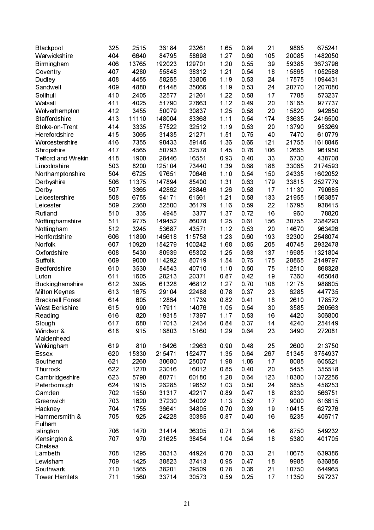| Blackpool                 | 325 | 2515  | 36184  | 23261  | 1.65  | 0.84 | 21  | 9865  | 675241  |
|---------------------------|-----|-------|--------|--------|-------|------|-----|-------|---------|
| Warwickshire              | 404 | 6640  | 84795  | 58698  | 1.27  | 0.60 | 105 | 20085 | 1482050 |
| Birmingham                | 406 | 13765 | 192023 | 129701 | 1.20  | 0.55 | 39  | 59385 | 3673796 |
| Coventry                  | 407 | 4280  | 55848  | 38312  | 1.21  | 0.54 | 18  | 15865 | 1052588 |
| Dudley                    | 408 | 4455  | 58265  | 33806  | 1.19  | 0 53 | 24  | 17575 | 1094431 |
| Sandwell                  | 409 | 4880  | 61448  | 35066  | 1.19  | 0 53 | 24  | 20770 | 1207080 |
| Solihull                  | 410 | 2405  | 32577  | 21261  | 1.22  | 0.58 | 17  | 7785  | 573237  |
| Walsall                   | 411 | 4025  | 51790  | 27663  | 1.12  | 0.49 | 20  | 16165 | 977737  |
| Wolverhampton             | 412 | 3455  | 50079  | 30837  | 1.25  | 0.58 | 20  | 15820 | 942650  |
| Staffordshire             | 413 | 11110 | 148004 | 83368  | 1.11  | 0.54 | 174 | 33635 | 2416500 |
| Stoke-on-Trent            | 414 | 3335  | 57522  | 32512  | 1 1 9 | 0 53 | 20  | 13790 | 953269  |
| Herefordshire             | 415 | 3065  | 31435  | 21271  | 151   | 075  | 40  | 7470  | 610779  |
| Worcestershire            | 416 | 7355  | 90433  | 59146  | 1 3 6 | 066  | 121 | 21755 | 1618846 |
| Shropshire                | 417 | 4565  | 50793  | 32578  | 145   | 076  | 106 | 12665 | 961950  |
| <b>Telford and Wrekin</b> | 418 | 1900  | 28446  | 16551  | 093   | 0.40 | 33  | 6730  | 438708  |
| Lincolnshire              | 503 | 8200  | 125104 | 73440  | 1 3 9 | 068  | 188 | 33065 | 2174593 |
| Northamptonshire          | 504 | 6725  | 97651  | 70646  | 1.10  | 0.54 | 150 | 24335 | 1602052 |
| Derbyshire                | 506 | 11375 | 147894 | 85400  | 131   | 0 63 | 179 | 33815 | 2527779 |
| Derby                     | 507 | 3365  | 42862  | 28846  | 1.26  | 0.58 | 17  | 11130 | 790685  |
| Leicestershire            | 508 | 6755  | 94171  | 61561  | 1.21  | 0.58 | 133 | 21955 | 1563857 |
| Leicester                 | 509 | 2560  | 52500  | 36179  | 1.16  | 0.59 | 22  | 16795 | 938415  |
| Rutland                   | 510 | 335   | 4945   | 3377   | 137   | 0.72 | 16  | 960   | 78820   |
| Nottinghamshire           | 511 | 9775  | 149452 | 86078  | 1.25  | 0.61 | 156 | 30755 | 2384293 |
| Nottingham                | 512 | 3245  | 53687  | 43571  | 1.12  | 0 53 | 20  | 14670 | 963426  |
| Hertfordshire             | 606 | 11890 | 145618 | 115758 | 1 2 3 | 0.60 | 193 | 32300 | 2548074 |
| Norfolk                   | 607 | 10920 | 154279 | 100242 | 168   | 0.85 | 205 | 40745 | 2932478 |
| Oxfordshire               | 608 | 5430  | 80939  | 65302  | 1 25  | 0 63 | 137 | 16985 | 1321804 |
| Suffolk                   | 609 | 9000  | 114292 | 80719  | 154   | 075  | 175 | 28865 | 2149797 |
| Bedfordshire              | 610 | 3530  | 54543  | 40710  | 1.10  | 0.50 | 75  | 12510 | 868328  |
| Luton                     | 611 | 1605  | 28213  | 20371  | 087   | 0.42 | 19  | 7360  | 465048  |
| <b>Buckinghamshire</b>    | 612 | 3995  | 61328  | 46812  | 1.27  | 0.70 | 108 | 12175 | 988605  |
| <b>Milton Keynes</b>      | 613 | 1675  | 29104  | 22488  | 078   | 0.37 | 23  | 6285  | 447735  |
| <b>Bracknell Forest</b>   | 614 | 605   | 12864  | 11739  | 0.82  | 0.41 | 18  | 2610  | 178572  |
| <b>West Berkshire</b>     | 615 | 990   | 17911  | 14076  | 1.05  | 0.54 | 30  | 3585  | 260563  |
| Reading                   | 616 | 820   | 19315  | 17397  | 1.17  | 0 53 | 16  | 4420  | 306800  |
| Slough                    | 617 | 680   | 17013  | 12434  | 0.84  | 0 37 | 14  | 4240  | 254149  |
| Windsor &                 | 618 | 915   | 16803  | 15160  | 1.29  | 0.64 | 23  | 3490  | 272081  |
| Maidenhead                |     |       |        |        |       |      |     |       |         |
| Wokingham                 | 619 | 810   | 16426  | 12963  | 0.90  | 0.48 | 25  | 2600  | 213750  |
| <b>Essex</b>              | 620 | 15330 | 215471 | 152477 | 1.35  | 0.64 | 267 | 51345 | 3754937 |
| Southend                  | 621 | 2260  | 30680  | 25007  | 1.98  | 1.06 | 17  | 8085  | 605521  |
| Thurrock                  | 622 | 1270  | 23016  | 16012  | 0.85  | 0.40 | 20  | 5455  | 355518  |
| Cambridgeshire            | 623 | 5790  | 80771  | 60180  | 1 2 8 | 0.64 | 123 | 18380 | 1372256 |
| Peterborough              | 624 | 1915  | 26285  | 19652  | 1.03  | 0.50 | 24  | 6855  | 458253  |
| Camden                    | 702 | 1550  | 31317  | 42217  | 0.89  | 0.47 | 18  | 8330  | 566751  |
| Greenwich                 | 703 | 1620  | 37230  | 34002  | 1 1 3 | 0.52 | 17  | 9000  | 616615  |
| Hackney                   | 704 | 1755  | 36641  | 34805  | 0.70  | 0.39 | 19  | 10415 | 627276  |
| Hammersmith &             | 705 | 925   | 24228  | 30385  | 0.87  | 0.40 | 16  | 6235  | 406717  |
| Fulham                    |     |       |        |        |       |      |     |       |         |
| Islington                 | 706 | 1470  | 31414  | 36305  | 0.71  | 0.34 | 16  | 8750  | 549232  |
| Kensington &              | 707 | 970   | 21625  | 38454  | 1.04  | 0.54 | 18  | 5380  | 401705  |
| Chelsea                   |     |       |        |        |       |      |     |       |         |
| Lambeth                   | 708 | 1295  | 38313  | 44924  | 0.70  | 0.33 | 21  | 10675 | 639386  |
| Lewisham                  | 709 | 1425  | 38823  | 37413  | 0.95  | 0.47 | 18  | 9985  | 636856  |
| Southwark                 | 710 | 1565  | 38201  | 39509  | 078   | 0.36 | 21  | 10750 | 644965  |
| <b>Tower Hamlets</b>      | 711 | 1560  | 33714  | 30573  | 0.59  | 0.25 | 17  | 11350 | 597237  |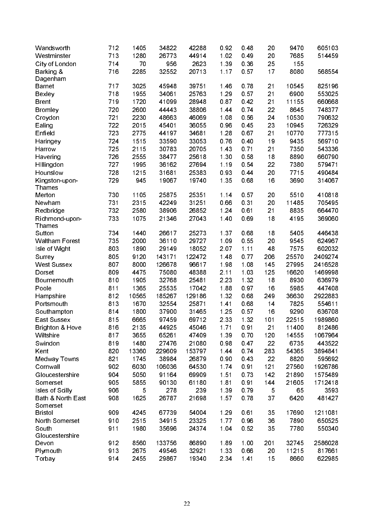| Wandsworth<br>Westminster       | 712<br>713 | 1405<br>1280 | 34822<br>26773  | 42288<br>44914 | 0.92<br>1.02 | 0.48<br>0.49 | 20<br>20   | 9470<br>7685   | 605103<br>514459 |
|---------------------------------|------------|--------------|-----------------|----------------|--------------|--------------|------------|----------------|------------------|
| City of London                  | 714        | 70           | 956             | 2623           | 1 3 9        | 0.36         | 25         | 155            |                  |
| Barking &                       | 716        | 2285         | 32552           | 20713          | 1.17         | 0.57         | 17         | 8080           | 568554           |
| Dagenham                        |            |              |                 |                |              |              |            |                |                  |
| <b>Barnet</b>                   | 717        | 3025         | 45948           | 39751          | 1.46         | 0.78         | 21         | 10545          | 825196           |
| <b>Bexley</b>                   | 718        | 1955         | 34061           | 25763          | 1.29         | 0.57         | 21         | 6900           | 553025           |
| <b>Brent</b>                    | 719        | 1720         | 41099           | 28948          | 0.87         | 0.42         | 21         | 11155          | 660668           |
| <b>Bromley</b>                  | 720        | 2600         | 44443           | 38806          | 1 4 4        | 0.74         | 22         | 8645           | 748377           |
| Croydon                         | 721        | 2230         | 48663           | 46069          | 1 0 8        | 0.56         | 24         | 10530          | 790632           |
| Ealing                          | 722        | 2015         | 45401           | 36055          | 0.96         | 0.45         | 23         | 10945          | 726329           |
| Enfield                         | 723        | 2775         | 44197           | 34681          | 1.28         | 0.67         | 21         | 10770          | 777315           |
| Haringey                        | 724        | 1515         | 33590           | 33053          | 076          | 0.40         | 19         | 9435           | 569710           |
| Harrow                          | 725        | 2115         | 30783           | 20705          | 1.43         | 0.71         | 21         | 7350           | 543336           |
|                                 | 726        | 2555         | 38477           | 25618          | 1 30         | 0.58         | 18         | 8890           | 660790           |
| Havering                        | 727        | 1995         | 36162           | 27694          | 1.19         | 0.54         | 22         | 7380           | 579471           |
| Hillingdon                      | 728        | 1215         | 31681           | 25383          | 0.93         | 0.44         | 20         | 7715           | 490484           |
| Hounslow                        |            |              |                 |                |              |              |            |                |                  |
| Kingston-upon-<br><b>Thames</b> | 729        | 945          | 19067           | 19740          | 1.35         | 068          | 16         | 3690           | 314067           |
| Merton                          | 730        | 1105         | 25875           | 25351          | 1.14         | 0.57         | 20         | 5510           | 410818           |
| Newham                          | 731        | 2315         | 42249           | 31251          | 0.66         | 0.31         | 20         | 11485          | 705495           |
|                                 | 732        | 2580         | 38906           | 26852          | 1.24         | 0.61         | 21         | 8835           | 664470           |
| Redbridge                       |            |              |                 |                |              |              |            |                | 369060           |
| Richmond-upon-<br>Thames        | 733        | 1075         | 21346           | 27043          | 1.40         | 0.69         | 18         | 4195           |                  |
| Sutton                          | 734        | 1440         | 26617           | 25273          | 137          | 0.68         | 18         | 5405           | 446438           |
| <b>Waltham Forest</b>           | 735        | 2000         | 36110           | 29727          | 1.09         | 0.55         | 20         | 9545           | 624967           |
| Isle of Wight                   | 803        | 1890         | 29149           | 18052          | 207          | 1.11         | 48         | 7575           | 602032           |
|                                 | 805        | 9120         | 143171          | 122472         | 148          | 0.77         | 206        | 25570          | 2409274          |
| Surrey                          | 807        | 8000         |                 |                |              | 1.08         |            |                | 2416528          |
| <b>West Sussex</b>              | 809        | 4475         | 126678<br>75080 | 96617<br>48388 | 1.98<br>2.11 | 1.03         | 145<br>125 | 27995<br>16620 |                  |
| Dorset                          |            |              |                 |                |              |              |            |                | 1469998          |
| Bournemouth                     | 810        | 1905         | 32768           | 25481          | 2 2 3        | 1 32         | 18         | 8930           | 636979           |
| Poole                           | 811        | 1365         | 25535           | 17042          | 188          | 0.97         | 16         | 5985           | 447408           |
| Hampshire                       | 812        | 10565        | 185267          | 129186         | 1.32         | 0.68         | 249        | 36630          | 2922883          |
| Portsmouth                      | 813        | 1670         | 32554           | 25871          | $141$        | 0.68         | 14         | 7825           | 554611           |
| Southampton                     | 814        | 1800         | 37900           | 31465          | 1.25         | 0.57         | 16         | 9290           | 636708           |
| East Sussex                     | 815        | 6665         | 97459           | 69712          | 2 3 3        | 1 32         | 101        | 22515          | 1989860          |
| <b>Brighton &amp; Hove</b>      | 816        | 2135         | 44925           | 45046          | 1.71         | 0.91         | 21         | 11400          | 812486           |
| Wiltshire                       | 817        | 3655         | 65261           | 47409          | 1 3 9        | 0.70         | 120        | 14555          | 1067964          |
| Swindon                         | 819        | 1480         | 27476           | 21080          | 098          | 0.47         | 22         | 6735           | 443522           |
| Kent                            | 820        | 13360        | 229609          | 153797         | 144          | 0.74         | 283        | 54365          | 3894841          |
| <b>Medway Towns</b>             | 821        | 1745         | 38984           | 26879          | 0.90         | 0.43         | 22         | 8820           | 595692           |
| Cornwall                        | 902        | 6030         | 106036          | 64530          | 174          | 091          | 121        | 27560          | 1926786          |
| Gloucestershire                 | 904        | 5050         | 91164           | 69909          | 1.51         | 0.73         | 142        | 21890          | 1575489          |
| Somerset                        | 905        | 5855         | 90130           | 61180          | 1.81         | 0.91         | 144        | 21605          | 1712418          |
| Isles of Scilly                 | 906        | 5            | 278             | 239            | 1 3 9        | 0.79         | 5          | 65             | 3593             |
| Bath & North East<br>Somerset   | 908        | 1625         | 26787           | 21698          | 157          | 0.78         | 37         | 6420           | 481427           |
| <b>Bristol</b>                  | 909        | 4245         | 67739           | 54004          | 1.29         | 0.61         | 35         | 17690          | 1211081          |
| North Somerset                  | 910        | 2515         | 34915           | 23325          | 1.77         | 0.96         | 36         | 7890           | 650525           |
| South                           | 911        | 1980         | 35696           | 24374          | 1.04         | 0.52         | 35         | 7780           | 550340           |
| Gloucestershire                 |            |              |                 |                |              |              |            |                |                  |
| Devon                           | 912        | 8560         | 133756          | 86890          | 1.89         | 1.00         | 201        | 32745          | 2586028          |
| Plymouth                        | 913        | 2675         | 49546           | 32921          | 1 3 3        | 0.66         | 20         | 11215          | 817661           |
| Torbay                          | 914        | 2455         | 29867           | 19340          | 2 3 4        | 141          | 15         | 8660           | 622985           |